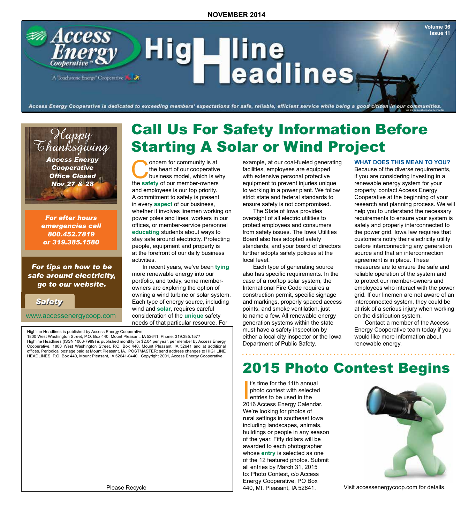## **Access** Hig**Hine**<br>Headlines A Touchstone Energy Cooperative

Access Energy Cooperative is dedicated to exceeding members' expectations for safe, reliable, efficient service while being a good citizen in our communities.

### Happy Thanksgiving

*Access Energy Cooperative Office Closed Nov 27 & 28*

*For after hours emergencies call 800.452.7819 or 319.385.1580*

#### *For tips on how to be safe around electricity, go to our website.*

*Safety Safety*

www.accessenergycoop.com

Highline Headlines is published by Access Energy Cooperative,

1800 West Washington Street, P.O. Box 440, Mount Pleasant, IA 52641, Phone: 319.385.1577 Highline Headlines (ISSN 1066-7989) is published monthly for \$2.04 per year, per member by Access Energy Cooperative, 1800 West Washington Street, P.O. Box 440, Mount Pleasant, IA 52641 and at additional offices. Periodical postage paid at Mount Pleasant, IA. POSTMASTER: send address changes to HIGHLINE HEADLINES, P.O. Box 440, Mount Pleasant, IA 52641-0440. Copyright 2001, Access Energy Cooperative.

Please Recycle

### Call Us For Safety Information Before Starting A Solar or Wind Project

oncern for community is at<br>the heart of our cooperative<br>business model, which is w<br>the safety of our member-owners the heart of our cooperative business model, which is why the **safety** of our member-owners and employees is our top priority. A commitment to safety is present in every **aspect** of our business, whether it involves linemen working on power poles and lines, workers in our offices, or member-service personnel **educating** students about ways to stay safe around electricity. Protecting people, equipment and property is at the forefront of our daily business activities.

In recent years, we've been **tying** more renewable energy into our portfolio, and today, some memberowners are exploring the option of owning a wind turbine or solar system. Each type of energy source, including wind and **solar**, requires careful consideration of the **unique** safety needs of that particular resource. For

example, at our coal-fueled generating facilities, employees are equipped with extensive personal protective equipment to prevent injuries unique to working in a power plant. We follow strict state and federal standards to ensure safety is not compromised.

The State of Iowa provides oversight of all electric utilities to protect employees and consumers from safety issues. The Iowa Utilities Board also has adopted safety standards, and your board of directors further adopts safety policies at the local level.

Each type of generating source also has specific requirements. In the case of a rooftop solar system, the International Fire Code requires a construction permit, specific signage and markings, properly spaced access points, and smoke ventilation, just to name a few. All renewable energy generation systems within the state must have a safety inspection by either a local city inspector or the Iowa Department of Public Safety.

. . . . . . . . . . . . . . . .

#### **WHAT DOES THIS MEAN TO YOU?**

**Volume 36 Issue 11**

We are an equal opportunity provider.

Because of the diverse requirements, if you are considering investing in a renewable energy system for your property, contact Access Energy Cooperative at the beginning of your research and planning process. We will help you to understand the necessary requirements to ensure your system is safely and properly interconnected to the power grid. Iowa law requires that customers notify their electricity utility before interconnecting any generation source and that an interconnection agreement is in place. These measures are to ensure the safe and reliable operation of the system and to protect our member-owners and employees who interact with the power grid. If our linemen are not aware of an interconnected system, they could be at risk of a serious injury when working on the distribution system.

Contact a member of the Access Energy Cooperative team today if you would like more information about renewable energy.

### 2015 Photo Contest Begins

<sup>t's</sup> time for the 11th annual<br>photo contest with selected<br>entries to be used in the<br>2016 Access Energy Calendar. t's time for the 11th annual photo contest with selected entries to be used in the We're looking for photos of rural settings in southeast Iowa including landscapes, animals, buildings or people in any season of the year. Fifty dollars will be awarded to each photographer whose **entry** is selected as one of the 12 featured photos. Submit all entries by March 31, 2015 to: Photo Contest, c/o Access Energy Cooperative, PO Box 440, Mt. Pleasant, IA 52641.



Visit accessenergycoop.com for details.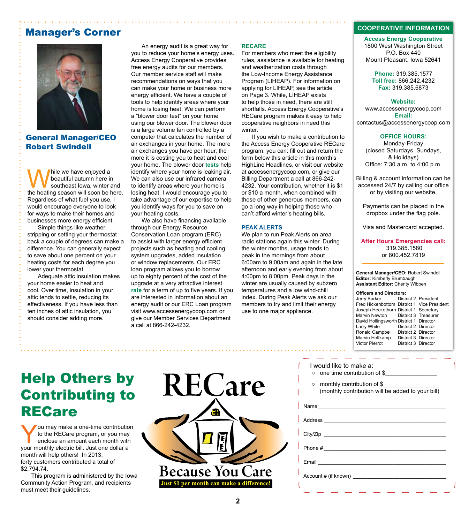### Manager's Corner



General Manager/CEO Robert Swindell

While we have enjoyed a<br>beautiful autumn here in<br>the heating season will soon be b beautiful autumn here in southeast Iowa, winter and the heating season will soon be here. Regardless of what fuel you use, I would encourage everyone to look for ways to make their homes and businesses more energy efficient.

Simple things like weather stripping or setting your thermostat back a couple of degrees can make a difference. You can generally expect to save about one percent on your heating costs for each degree you lower your thermostat.

Adequate attic insulation makes your home easier to heat and cool. Over time, insulation in your attic tends to settle, reducing its effectiveness. If you have less than ten inches of attic insulation, you should consider adding more.

#### An energy audit is a great way for you to reduce your home's energy uses. Access Energy Cooperative provides free energy audits for our members. Our member service staff will make recommendations on ways that you can make your home or business more energy efficient. We have a couple of tools to help identify areas where your home is losing heat. We can perform a "blower door test" on your home using our blower door. The blower door is a large volume fan controlled by a computer that calculates the number of air exchanges in your home. The more air exchanges you have per hour, the more it is costing you to heat and cool your home. The blower door **tests** help identify where your home is leaking air. We can also use our infrared camera to identify areas where your home is losing heat. I would encourage you to take advantage of our expertise to help you identify ways for you to save on your heating costs.

We also have financing available through our Energy Resource Conservation Loan program (ERC) to assist with larger energy efficient projects such as heating and cooling system upgrades, added insulation or window replacements. Our ERC loan program allows you to borrow up to eighty percent of the cost of the upgrade at a very attractive interest **rate** for a term of up to five years. If you are interested in information about an energy audit or our ERC Loan program visit www.accessenergycoop.com or give our Member Services Department a call at 866-242-4232.

#### **RECARE**

For members who meet the eligibility rules, assistance is available for heating and weatherization costs through the Low-Income Energy Assistance Program (LIHEAP). For information on applying for LIHEAP, see the article on Page 3. While, LIHEAP exists to help those in need, there are still shortfalls. Access Energy Cooperative's RECare program makes it easy to help cooperative neighbors in need this winter.

If you wish to make a contribution to the Access Energy Cooperative RECare program, you can: fill out and return the form below this article in this month's HighLine Headlines, or visit our website at accessenergycoop.com, or give our Billing Department a call at 866-242- 4232. Your contribution, whether it is \$1 or \$10 a month, when combined with those of other generous members, can go a long way in helping those who can't afford winter's heating bills.

#### **PEAK ALERTS**

We plan to run Peak Alerts on area radio stations again this winter. During the winter months, usage tends to peak in the mornings from about 6:00am to 9:00am and again in the late afternoon and early evening from about 4:00pm to 8:00pm. Peak days in the winter are usually caused by subzero temperatures and a low wind-chill index. During Peak Alerts we ask our members to try and limit their energy use to one major appliance.

#### **COOPERATIVE INFORMATION**

**Access Energy Cooperative** 1800 West Washington Street P.O. Box 440 Mount Pleasant, Iowa 52641

**Phone:** 319.385.1577 **Toll free:** 866.242.4232 **Fax:** 319.385.6873

#### **Website:**

www.accessenergycoop.com **Email:** contactus@accessenergycoop.com

#### **OFFICE HOURS:**

Monday-Friday (closed Saturdays, Sundays, & Holidays) Office: 7:30 a.m. to 4:00 p.m.

Billing & account information can be accessed 24/7 by calling our office or by visiting our website.

Payments can be placed in the dropbox under the flag pole.

Visa and Mastercard accepted.

**After Hours Emergencies call:** 319.385.1580 or 800.452.7819

**General Manager/CEO:** Robert Swindell **Editor:** Kimberly Brumbaugh **Assistant Editor:** Cherity Wibben

### **Officers and Directors:**<br>Jerry Barker Distr

District 2 President Fred Hickenbottom District 1 Vice President Joseph Heckethorn District 1 Secretary Marvin Newton District 3 Treasurer David Hollingsworth District 1 Director District 2 Director<br>District 2 Director Ronald Campbell Marvin Holtkamp District 3 Director Victor Pierrot District 3 Director

### Help Others by Contributing to RECare

ou may make a one-time contribution to the RECare program, or you may enclose an amount each month with your monthly electric bill. Just one dollar a month will help others! In 2013, forty customers contributed a total of \$2,794.74.

This program is administered by the Iowa Community Action Program, and recipients must meet their guidelines.



#### I would like to make a:

- one time contribution of \$
- monthly contribution of \$\_\_\_\_\_\_\_\_\_\_\_\_\_\_\_\_\_

| (monthly contribution will be added to your bill) |  |  |
|---------------------------------------------------|--|--|
|                                                   |  |  |

Name\_\_\_\_\_\_\_\_\_\_\_\_\_\_\_\_\_\_\_\_\_\_\_\_\_\_\_\_\_\_\_\_\_\_\_\_\_\_\_\_\_\_\_\_

Address \_\_\_\_\_\_\_\_\_\_\_\_\_\_\_\_\_\_\_\_\_\_\_\_\_\_\_\_\_\_\_\_\_\_\_\_\_\_\_\_\_\_ City/Zip \_\_\_\_\_\_\_\_\_\_\_\_\_\_\_\_\_\_\_\_\_\_\_\_\_\_\_\_\_\_\_\_\_\_\_\_\_\_\_\_\_\_

Phone  $\#$ 

Email  $\blacksquare$ 

Account # (if known) \_\_\_\_\_\_\_\_\_\_\_\_\_\_\_\_\_\_\_\_\_\_\_\_\_\_\_\_\_\_\_\_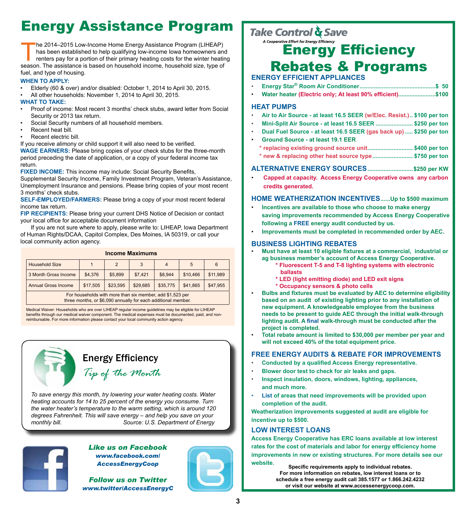### Energy Assistance Program

The 2014–2015 Low-Income Home Energy Assistance Program (LIHEAP)<br>has been established to help qualifying low-income Iowa homeowners and<br>renters pay for a portion of their primary heating costs for the winter heating<br>season has been established to help qualifying low-income Iowa homeowners and renters pay for a portion of their primary heating costs for the winter heating season. The assistance is based on household income, household size, type of fuel, and type of housing.

#### **WHEN TO APPLY:**

- Elderly (60 & over) and/or disabled: October 1, 2014 to April 30, 2015.
- All other households: November 1, 2014 to April 30, 2015.

#### **WHAT TO TAKE:**

- Proof of income: Most recent 3 months' check stubs, award letter from Social Security or 2013 tax return.
- Social Security numbers of all household members.
- Recent heat bill.
- Recent electric bill.

If you receive alimony or child support it will also need to be verified.

**WAGE EARNERS:** Please bring copies of your check stubs for the three-month period preceding the date of application, or a copy of your federal income tax return.

**FIXED INCOME:** This income may include: Social Security Benefits,

Supplemental Security Income, Family Investment Program, Veteran's Assistance, Unemployment Insurance and pensions. Please bring copies of your most recent 3 months' check stubs.

**SELF-EMPLOYED/FARMERS:** Please bring a copy of your most recent federal income tax return.

**FIP RECIPIENTS:** Please bring your current DHS Notice of Decision or contact your local office for acceptable document information

If you are not sure where to apply, please write to: LIHEAP, Iowa Department of Human Rights/DCAA, Capitol Complex, Des Moines, IA 50319, or call your local community action agency.

| <b>Income Maximums</b>                                    |          |          |          |                |          |          |  |  |  |
|-----------------------------------------------------------|----------|----------|----------|----------------|----------|----------|--|--|--|
| <b>Household Size</b>                                     |          | 2        | 3        | $\overline{4}$ | 5        | 6        |  |  |  |
| 3 Month Gross Income                                      | \$4,376  | \$5,899  | \$7,421  | \$8,944        | \$10,466 | \$11,989 |  |  |  |
| <b>Annual Gross Income</b>                                | \$17,505 | \$23,595 | \$29,685 | \$35,775       | \$41,865 | \$47,955 |  |  |  |
| For households with more than six member, add \$1,523 per |          |          |          |                |          |          |  |  |  |

three months, or \$6,090 annually for each additional member.

Medical Waiver: Households who are over LIHEAP regular income guidelines may be eligible for LIHEAP benefits through our medical waiver component. The medical expenses must be documented, paid, and nonreimbursable. For more information please contact your local community action agency.



*To save energy this month, try lowering your water heating costs. Water heating accounts for 14 to 25 percent of the energy you consume. Turn the water heater's temperature to the warm setting, which is around 120 degrees Fahrenheit. This will save energy – and help you save on your monthly bill. Source: U.S. Department of Energy*



*Like us on Facebook www.facebook.com/ AccessEnergyCoop*

*Follow us on Twitter www.twitter/AccessEnergyC*

### Take Control & Save

### A Cooperative Effort for Energy Efficiency Rebates & Programs

#### **ENERGY EFFICIENT APPLIANCES**

- **Energy Star® Room Air Conditioner...............................................\$ 50**
- **Water heater (Electric only; At least 90% efficient).......................\$100**

#### **HEAT PUMPS**

- **Air to Air Source at least 16.5 SEER (w/Elec. Resist.).. \$100 per ton**
- **Mini-Split Air Source at least 16.5 SEER ....................... \$250 per ton**
- **Dual Fuel Source at least 16.5 SEER (gas back up)..... \$250 per ton**
- **Ground Source at least 19.1 EER**
	- **\* replacing existing ground source unit............................ \$400 per ton**
	- **\* new & replacing other heat source type......................... \$750 per ton**

#### **ALTERNATIVE ENERGY SOURCES............................\$250 per KW**

• **Capped at capacity. Access Energy Cooperative owns any carbon credits generated.**

#### **HOME WEATHERIZATION INCENTIVES......Up to \$500 maximum**

- **Incentives are available to those who choose to make energy saving improvements recommended by Access Energy Cooperative following a FREE energy audit conducted by us.**
- **Improvements must be completed in recommended order by AEC.**

#### **BUSINESS LIGHTING REBATES**

- **Must have at least 10 eligible fixtures at a commercial, industrial or ag business member's account of Access Energy Cooperative.**
	- **\* Fluorescent T-5 and T-8 lighting systems with electronic ballasts**
	- **\* LED (light emitting diode) and LED exit signs**
	- **\* Occupancy sensors & photo cells**
- **Bulbs and fixtures must be evaluated by AEC to determine eligibility based on an audit of existing lighting prior to any installation of new equipment. A knowledgeable employee from the business needs to be present to guide AEC through the initial walk-through lighting audit. A final walk-through must be conducted after the project is completed.**
- **Total rebate amount is limited to \$30,000 per member per year and will not exceed 40% of the total equipment price.**

#### **FREE ENERGY AUDITS & REBATE FOR IMPROVEMENTS**

- **Conducted by a qualified Access Energy representative.**
- **Blower door test to check for air leaks and gaps.**
- **Inspect insulation, doors, windows, lighting, appliances, and much more.**
- **List of areas that need improvements will be provided upon completion of the audit.**

**Weatherization improvements suggested at audit are eligible for incentive up to \$500.**

#### **LOW INTEREST LOANS**

**Access Energy Cooperative has ERC loans available at low interest rates for the cost of materials and labor for energy efficiency home improvements in new or existing structures. For more details see our website.**

**Specific requirements apply to individual rebates. For more information on rebates, low interest loans or to schedule a free energy audit call 385.1577 or 1.866.242.4232 or visit our website at www.accessenergycoop.com.**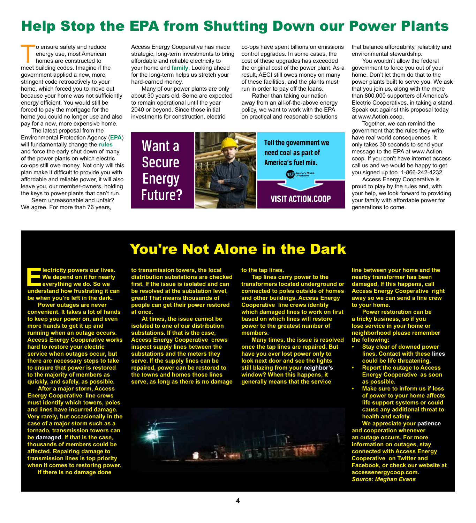### Help Stop the EPA from Shutting Down our Power Plants

o ensure safety and reduce energy use, most American homes are constructed to meet building codes. Imagine if the government applied a new, more stringent code retroactively to your home, which forced you to move out because your home was not sufficiently energy efficient. You would still be forced to pay the mortgage for the home you could no longer use and also pay for a new, more expensive home.

The latest proposal from the Environmental Protection Agency (**EPA**) will fundamentally change the **rules** and force the early shut down of many of the power plants on which electric co-ops still owe money. Not only will this plan make it difficult to provide you with affordable and reliable power, it will also leave you, our member-owners, holding the keys to power plants that can't run.

Seem unreasonable and unfair? We agree. For more than 76 years,

Access Energy Cooperative has made strategic, long-term investments to bring affordable and reliable electricity to your home and **family**. Looking ahead for the long-term helps us stretch your hard-earned money.

Many of our power plants are only about 30 years old. Some are expected to remain operational until the year 2040 or beyond. Since those initial investments for construction, electric

co-ops have spent billions on emissions control upgrades. In some cases, the cost of these upgrades has exceeded the original cost of the power plant. As a result, AECI still owes money on many of these facilities, and the plants must run in order to pay off the loans.

Rather than taking our nation away from an all-of-the-above energy policy, we want to work with the EPA on practical and reasonable solutions

Want a Tell the government we need coal as part of **Secure America's fuel mix.** America's Electric **Energy** Future? **VISIT ACTION.COOP**  that balance affordability, reliability and environmental stewardship.

You wouldn't allow the federal government to force you out of your home. Don't let them do that to the power plants built to serve you. We ask that you join us, along with the more than 800,000 supporters of America's Electric Cooperatives, in taking a stand. Speak out against this proposal today at www.Action.coop.

Together, we can remind the government that the rules they write have real world consequences. It only takes 30 seconds to send your message to the EPA at www.Action. coop. If you don't have internet access call us and we would be happy to get you signed up too. 1-866-242-4232

Access Energy Cooperative is proud to play by the rules and, with your help, we look forward to providing your family with affordable power for generations to come.

### You're Not Alone in the Dark

**EXECUTE INCOCERT EXECUTER SURFERIERRY WE depend on it for nearly everything we do. So we understand how frustrating it can We depend on it for nearly everything we do. So we understand how frustrating it can be when you're left in the dark.** 

**Power outages are never convenient. It takes a lot of hands to keep your power on, and even more hands to get it up and running when an outage occurs. Access Energy Cooperative works hard to restore your electric service when outages occur, but there are necessary steps to take to ensure that power is restored to the majority of members as quickly, and safely, as possible.**

**After a major storm, Access Energy Cooperative line crews must identify which towers, poles and lines have incurred damage. Very rarely, but occasionally in the case of a major storm such as a tornado, transmission towers can be damaged. If that is the case, thousands of members could be affected. Repairing damage to transmission lines is top priority when it comes to restoring power.**

**If there is no damage done** 

**to transmission towers, the local distribution substations are checked first. If the issue is isolated and can be resolved at the substation level, great! That means thousands of people can get their power restored at once.**

**At times, the issue cannot be isolated to one of our distribution substations. If that is the case, Access Energy Cooperative crews inspect supply lines between the substations and the meters they serve. If the supply lines can be repaired, power can be restored to the towns and homes those lines serve, as long as there is no damage**  **to the tap lines.**

**Tap lines carry power to the transformers located underground or connected to poles outside of homes and other buildings. Access Energy Cooperative line crews identify which damaged lines to work on first based on which lines will restore power to the greatest number of members.** 

**Many times, the issue is resolved once the tap lines are repaired. But have you ever lost power only to look next door and see the lights still blazing from your neighbor's window? When this happens, it generally means that the service** 



**line between your home and the nearby transformer has been damaged. If this happens, call Access Energy Cooperative right away so we can send a line crew to your home.**

**Power restoration can be a tricky business, so if you lose service in your home or neighborhood please remember the following:** 

- **• Stay clear of downed power lines. Contact with these lines could be life threatening.**
- **• Report the outage to Access Energy Cooperative as soon as possible.**
- **• Make sure to inform us if loss of power to your home affects life support systems or could cause any additional threat to health and safety.**

**We appreciate your patience and cooperation whenever an outage occurs. For more information on outages, stay connected with Access Energy Cooperative on Twitter and Facebook, or check our website at accessenergycoop.com.**  *Source: Meghan Evans*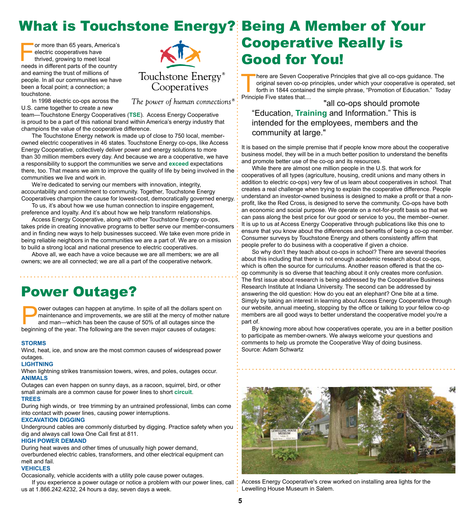### What is Touchstone Energy? Being A Member of Your

or more than 65 years, America's electric cooperatives have thrived, growing to meet local needs in different parts of the country and earning the trust of millions of people. In all our communities we have been a focal point; a connection; a touchstone.



In 1998 electric co-ops across the U.S. came together to create a new

team—Touchstone Energy Cooperatives (**TSE**). Access Energy Cooperative is proud to be a part of this national brand within America's energy industry that champions the value of the cooperative difference.

The Touchstone Energy network is made up of close to 750 local, memberowned electric cooperatives in 46 states. Touchstone Energy co-ops, like Access Energy Cooperative, collectively deliver power and energy solutions to more than 30 million members every day. And because we are a cooperative, we have a responsibility to support the communities we serve and **exceed** expectations there, too. That means we aim to improve the quality of life by being involved in the communities we live and work in.

We're dedicated to serving our members with innovation, integrity, accountability and commitment to community. Together, Touchstone Energy Cooperatives champion the cause for lowest-cost, democratically governed energy.

To us, it's about how we use human connection to inspire engagement, preference and loyalty. And it's about how we help transform relationships.

Access Energy Cooperative, along with other Touchstone Energy co-ops, takes pride in creating innovative programs to better serve our member-consumers and in finding new ways to help businesses succeed. We take even more pride in being reliable neighbors in the communities we are a part of. We are on a mission to build a strong local and national presence to electric cooperatives.

Above all, we each have a voice because we are all members; we are all owners; we are all connected; we are all a part of the cooperative network.

### Power Outage?

ower outages can happen at anytime. In spite of all the dollars spent on maintenance and improvements, we are still at the mercy of mother nature and man—which has been the cause of 50% of all outages since the beginning of the year. The following are the seven major causes of outages:

#### **STORMS**

Wind, heat, ice, and snow are the most common causes of widespread power outages.

#### **LIGHTNING**

When lightning strikes transmission towers, wires, and poles, outages occur. **ANIMALS**

Outages can even happen on sunny days, as a racoon, squirrel, bird, or other small animals are a common cause for power lines to short **circuit**. **TREES**

During high winds, or tree trimming by an untrained professional, limbs can come into contact with power lines, causing power interruptions.

#### **EXCAVATION DIGGING**

Underground cables are commonly disturbed by digging. Practice safety when you dig and always call Iowa One Call first at 811.

#### **HIGH POWER DEMAND**

During heat waves and other times of unusually high power demand, overburdened electric cables, transformers, and other electrical equipment can melt and fail.

#### **VEHICLES**

Occasionally, vehicle accidents with a utility pole cause power outages.

If you experience a power outage or notice a problem with our power lines, call : Access Energy Cooperative's crew worked on installing area lights for the us at 1.866.242.4232, 24 hours a day, seven days a week.

# **Cooperative Really is<br>Good for You!**

There are Seven Cooperative Principles that give all co-ops guidance. The original seven co-op principles, under which your cooperative is operated, forth in 1844 contained the simple phrase, "Promotion of Education." Toda original seven co-op principles, under which your cooperative is operated, set forth in 1844 contained the simple phrase, "Promotion of Education." Today Principle Five states that....

 "all co-ops should promote "Education, **Training** and Information." This is intended for the employees, members and the community at large."

It is based on the simple premise that if people know more about the cooperative business model, they will be in a much better position to understand the benefits and promote better use of the co-op and its resources.

While there are almost one million people in the U.S. that work for cooperatives of all types (agriculture, housing, credit unions and many others in addition to electric co-ops) very few of us learn about cooperatives in school. That creates a real challenge when trying to explain the cooperative difference. People understand an investor-owned business is designed to make a profit or that a nonprofit, like the Red Cross, is designed to serve the community. Co-ops have both an economic and social purpose. We operate on a not-for-profit basis so that we can pass along the best price for our good or service to you, the member–owner. It is up to us at Access Energy Cooperative through publications like this one to ensure that you know about the differences and benefits of being a co-op member. Consumer surveys by Touchstone Energy and others consistently affirm that people prefer to do business with a cooperative if given a choice.

So why don't they teach about co-ops in school? There are several theories about this including that there is not enough academic research about co-ops, which is often the source for curriculums. Another reason offered is that the coop community is so diverse that teaching about it only creates more confusion. The first issue about research is being addressed by the Cooperative Business Research Institute at Indiana University. The second can be addressed by answering the old question: How do you eat an elephant? One bite at a time. Simply by taking an interest in learning about Access Energy Cooperative through our website, annual meeting, stopping by the office or talking to your fellow co-op members are all good ways to better understand the cooperative model you're a part of.

By knowing more about how cooperatives operate, you are in a better position to participate as member-owners. We always welcome your questions and comments to help us promote the Cooperative Way of doing business. Source: Adam Schwartz



: Lewelling House Museum in Salem.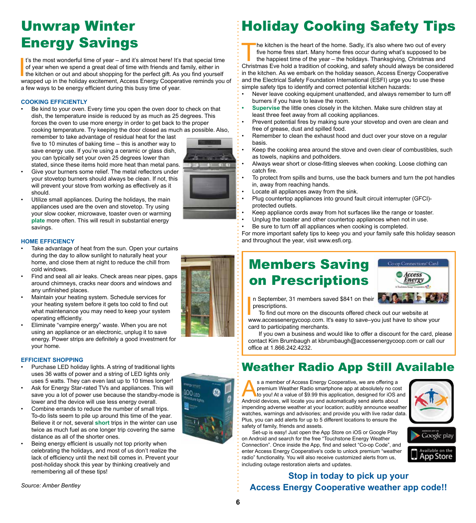### Unwrap Winter Energy Savings

It's the most wonderful time of year – and it's almost here! It's that special time<br>of year when we spend a great deal of time with friends and family, either in<br>the kitchen or out and about shopping for the perfect gift. It's the most wonderful time of year  $-$  and it's almost here! It's that special time of year when we spend a great deal of time with friends and family, either in the kitchen or out and about shopping for the perfect gift. As you find yourself a few ways to be energy efficient during this busy time of year.

#### **COOKING EFFICIENTLY**

Be kind to your oven. Every time you open the oven door to check on that dish, the temperature inside is reduced by as much as 25 degrees. This forces the oven to use more energy in order to get back to the proper cooking temperature. Try keeping the door closed as much as possible. Also,

remember to take advantage of residual heat for the last five to 10 minutes of baking time – this is another way to save energy use. If you're using a ceramic or glass dish, you can typically set your oven 25 degrees lower than stated, since these items hold more heat than metal pans.



#### • Give your burners some relief. The metal reflectors under your stovetop burners should always be clean. If not, this will prevent your stove from working as effectively as it should.

Utilize small appliances. During the holidays, the main appliances used are the oven and stovetop. Try using your slow cooker, microwave, toaster oven or warming **plate** more often. This will result in substantial energy savings.

#### **HOME EFFICIENCY**

- Take advantage of heat from the sun. Open your curtains during the day to allow sunlight to naturally heat your home, and close them at night to reduce the chill from cold windows.
- Find and seal all air leaks. Check areas near pipes, gaps around chimneys, cracks near doors and windows and any unfinished places.
- Maintain your heating system. Schedule services for your heating system before it gets too cold to find out what maintenance you may need to keep your system operating efficiently.
- Eliminate "vampire energy" waste. When you are not using an appliance or an electronic, unplug it to save energy. Power strips are definitely a good investment for your home.

#### **EFFICIENT SHOPPING**

- Purchase LED holiday lights. A string of traditional lights uses 36 watts of power and a string of LED lights only uses 5 watts. They can even last up to 10 times longer!
- Ask for Energy Star-rated TVs and appliances. This will save you a lot of power use because the standby-mode is lower and the device will use less energy overall.
- Combine errands to reduce the number of small trips. To-do lists seem to pile up around this time of the year. Believe it or not, several **short** trips in the winter can use twice as much fuel as one longer trip covering the same distance as all of the shorter ones.
- Being energy efficient is usually not top priority when celebrating the holidays, and most of us don't realize the lack of efficiency until the next bill comes in. Prevent your post-holiday shock this year by thinking creatively and remembering all of these tips!

*Source: Amber Bentley*

 $100<sub>LED</sub>$ 

### Holiday Cooking Safety Tips

The kitchen is the heart of the home. Sadly, it's also where two out of every<br>five home fires start. Many home fires occur during what's supposed to be<br>the happiest time of the year – the holidays. Thanksgiving, Christmas five home fires start. Many home fires occur during what's supposed to be the happiest time of the year – the holidays. Thanksgiving, Christmas and Christmas Eve hold a tradition of cooking, and safety should always be considered in the kitchen. As we embark on the holiday season, Access Energy Cooperative and the Electrical Safety Foundation International (ESFI) urge you to use these simple safety tips to identify and correct potential kitchen hazards:

- Never leave cooking equipment unattended, and always remember to turn off burners if you have to leave the room.
- **• Supervise** the little ones closely in the kitchen. Make sure children stay at least three feet away from all cooking appliances.
- Prevent potential fires by making sure your stovetop and oven are clean and free of grease, dust and spilled food.
- Remember to clean the exhaust hood and duct over your stove on a regular basis.
- Keep the cooking area around the stove and oven clear of combustibles, such as towels, napkins and potholders.
- Always wear short or close-fitting sleeves when cooking. Loose clothing can catch fire.
- To protect from spills and burns, use the back burners and turn the pot handles in, away from reaching hands.
- Locate all appliances away from the sink.
- Plug countertop appliances into ground fault circuit interrupter (GFCI) protected outlets.
- Keep appliance cords away from hot surfaces like the range or toaster.
- Unplug the toaster and other countertop appliances when not in use.
- Be sure to turn off all appliances when cooking is completed.

For more important safety tips to keep you and your family safe this holiday season and throughout the year, visit www.esfi.org.

### Members Saving on Prescriptions



n September, 31 members saved \$841 on their prescriptions.

In September, 31 members saved \$841 on their<br>prescriptions.<br>To find out more on the discounts offered check out our website at<br>www.accessenergycoop.com. It's easy to save–you just have to show your To find out more on the discounts offered check out our website at card to participating merchants.

If you own a business and would like to offer a discount for the card, please contact Kim Brumbaugh at kbrumbaugh@accessenergycoop.com or call our office at 1.866.242.4232.

### Weather Radio App Still Available

s a member of Access Energy Cooperative, we are offering a<br>
to you! At a value of \$9.99 this application, designed for iOS and<br>
Android devices will locate you and automatically send alerts about premium Weather Radio smartphone app at absolutely no cost Android devices, will locate you and automatically send alerts about impending adverse weather at your location; audibly announce weather watches, warnings and advisories; and provide you with live radar data. Plus, you can add alerts for up to 5 different locations to ensure the safety of family, friends and assets. Set-up is easy! Just open the App Store on iOS or Google Play

on Android and search for the free "Touchstone Energy Weather Connection". Once inside the App, find and select "Co-op Code", and enter Access Energy Cooperative's code to unlock premium "weather radio" functionality. You will also receive customized alerts from us,





#### including outage restoration alerts and updates. **Stop in today to pick up your Access Energy Cooperative weather app code!!**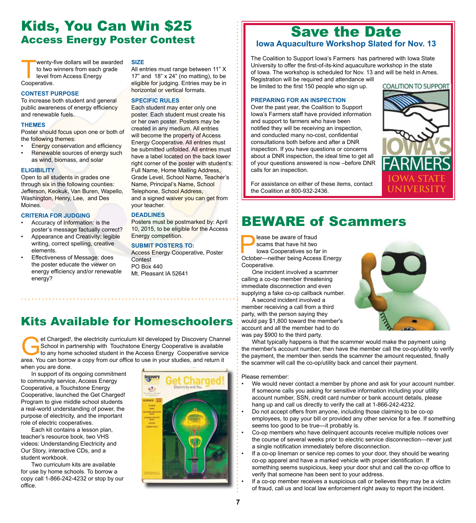### Kids, You Can Win \$25 **Access Energy Poster Contest** Save the Date Access Energy Poster Contest Save Stated to

wenty-five dollars will be awarded to two winners from each grade level from Access Energy Cooperative.

#### **CONTEST PURPOSE**

To increase both student and general public awareness of energy efficiency and renewable fuels.

#### **THEMES**

Poster should focus upon one or both of the following themes:

- **Energy conservation and efficiency**
- Renewable sources of energy such as wind, biomass, and solar

#### **ELIGIBILITY**

Open to all students in grades one through six in the following counties: Jefferson, Keokuk, Van Buren, Wapello, Washington, Henry, Lee, and Des Moines.

#### **CRITERIA FOR JUDGING**

- Accuracy of Information: is the poster's message factually correct?
- Appearance and Creativity: legible writing, correct spelling, creative elements.
- Effectiveness of Message: does the poster educate the viewer on energy efficiency and/or renewable energy?

#### **SIZE**

All entries must range between 11" X 17" and  $18" \times 24"$  (no matting), to be eligible for judging. Entries may be in horizontal or vertical formats.

#### **SPECIFIC RULES**

Each student may enter only one poster. Each student must create his or her own poster. Posters may be created in any medium. All entries will become the property of Access Energy Cooperative. All entries must be submitted unfolded. All entries must have a label located on the back lower right corner of the poster with student's: Full Name, Home Mailing Address, Grade Level, School Name, Teacher's Name, Principal's Name, School Telephone, School Address, and a signed waiver you can get from your teacher.

#### **DEADLINES**

Posters must be postmarked by: April 10, 2015, to be eligible for the Access Energy competition.

#### **SUBMIT POSTERS TO:**

Access Energy Cooperative, Poster **Contest** PO Box 440 Mt. Pleasant IA 52641

### Kits Available for Homeschoolers

et Charged!, the electricity curriculum kit developed by Discovery Channel<br>School in partnership with Touchstone Energy Cooperative is available<br>to any home schooled student in the Access Energy Cooperative service<br>area. Y School in partnership with Touchstone Energy Cooperative is available to any home schooled student in the Access Energy Cooperative service area. You can borrow a copy from our office to use in your studies, and return it when you are done.

In support of its ongoing commitment to community service, Access Energy Cooperative, a Touchstone Energy Cooperative, launched the Get Charged! Program to give middle school students a real-world understanding of power, the purpose of electricity, and the important role of electric cooperatives.

Each kit contains a lesson plan, teacher's resource book, two VHS videos: Understanding Electricity and Our Story, interactive CDs, and a student workbook.

Two curriculum kits are available for use by home schools. To borrow a copy call 1-866-242-4232 or stop by our office.



# **Iowa Aquaculture Workshop Slated for Nov. 13**

The Coalition to Support Iowa's Farmers has partnered with Iowa State University to offer the first-of-its-kind aquaculture workshop in the state of Iowa. The workshop is scheduled for Nov. 13 and will be held in Ames. Registration will be required and attendance will

be limited to the first 150 people who sign up.

#### **PREPARING FOR AN INSPECTION**

Over the past year, the Coalition to Support Iowa's Farmers staff have provided information and support to farmers who have been notified they will be receiving an inspection, and conducted many no-cost, confidential consultations both before and after a DNR inspection. If you have questions or concerns about a DNR inspection, the ideal time to get all of your questions answered is now –before DNR calls for an inspection.



For assistance on either of these items, contact the Coalition at 800-932-2436.

### BEWARE of Scammers

**Please be aware of fraud<br>
scams that have hit two<br>
lowa Cooperatives so fa<br>
October—peither being Acces** scams that have hit two Iowa Cooperatives so far in

October—neither being Access Energy Cooperative.

One incident involved a scammer calling a co-op member threatening immediate disconnection and even supplying a fake co-op callback number.

A second incident involved a member receiving a call from a third party, with the person saying they would pay \$1,800 toward the member's account and all the member had to do was pay \$900 to the third party.

What typically happens is that the scammer would make the payment using the member's account number, then have the member call the co-op/utility to verify the payment, the member then sends the scammer the amount requested, finally the scammer will call the co-op/utility back and cancel their payment.

Please remember:

- We would never contact a member by phone and ask for your account number. If someone calls you asking for sensitive information including your utility account number, SSN, credit card number or bank account details, please hang up and call us directly to verify the call at 1-866-242-4232.
- Do not accept offers from anyone, including those claiming to be co-op employees, to pay your bill or provided any other service for a fee. If something seems too good to be true—it probably is.
- Co-op members who have delinquent accounts receive multiple notices over the course of several weeks prior to electric service disconnection—never just a single notification immediately before disconnection.
- If a co-op lineman or service rep comes to your door, they should be wearing co-op apparel and have a marked vehicle with proper identification. If something seems suspicious, keep your door shut and call the co-op office to verify that someone has been sent to your address.
- If a co-op member receives a suspicious call or believes they may be a victim of fraud, call us and local law enforcement right away to report the incident.